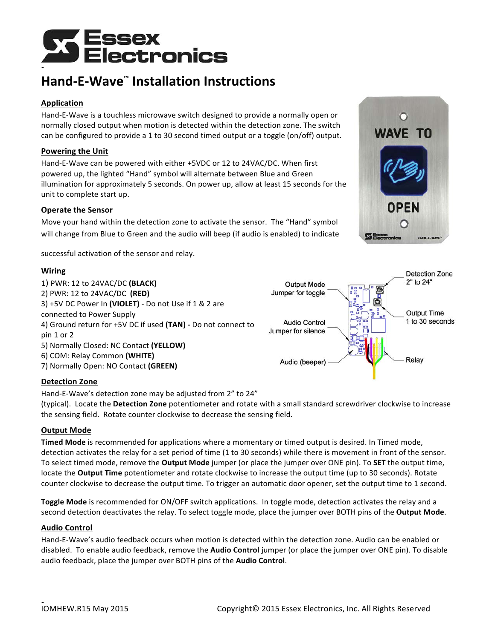

# **Hand-E-Wave™ Installation Instructions**

# **Application**

Hand-E-Wave is a touchless microwave switch designed to provide a normally open or normally closed output when motion is detected within the detection zone. The switch can be configured to provide a 1 to 30 second timed output or a toggle (on/off) output.

# **Powering the Unit**

Hand-E-Wave can be powered with either +5VDC or 12 to 24VAC/DC. When first powered up, the lighted "Hand" symbol will alternate between Blue and Green illumination for approximately 5 seconds. On power up, allow at least 15 seconds for the unit to complete start up.

## **Operate the Sensor**

Move your hand within the detection zone to activate the sensor. The "Hand" symbol will change from Blue to Green and the audio will beep (if audio is enabled) to indicate

successful activation of the sensor and relay.

## **Wiring**

1) PWR: 12 to 24VAC/DC **(BLACK)** 2) PWR: 12 to 24VAC/DC **(RED)** 3) +5V DC Power In (VIOLET) - Do not Use if 1 & 2 are connected to Power Supply 4) Ground return for +5V DC if used (TAN) - Do not connect to pin 1 or 2 5) Normally Closed: NC Contact **(YELLOW)** 6) COM: Relay Common **(WHITE)** 7) Normally Open: NO Contact **(GREEN)**



#### **Detection Zone**

Hand-E-Wave's detection zone may be adjusted from 2" to 24"

(typical). Locate the Detection Zone potentiometer and rotate with a small standard screwdriver clockwise to increase the sensing field. Rotate counter clockwise to decrease the sensing field.

#### **Output Mode**

**Timed Mode** is recommended for applications where a momentary or timed output is desired. In Timed mode, detection activates the relay for a set period of time (1 to 30 seconds) while there is movement in front of the sensor. To select timed mode, remove the **Output Mode** jumper (or place the jumper over ONE pin). To **SET** the output time, locate the **Output Time** potentiometer and rotate clockwise to increase the output time (up to 30 seconds). Rotate counter clockwise to decrease the output time. To trigger an automatic door opener, set the output time to 1 second.

**Toggle Mode** is recommended for ON/OFF switch applications. In toggle mode, detection activates the relay and a second detection deactivates the relay. To select toggle mode, place the jumper over BOTH pins of the **Output Mode**.

#### **Audio Control**

Hand-E-Wave's audio feedback occurs when motion is detected within the detection zone. Audio can be enabled or disabled. To enable audio feedback, remove the **Audio Control** jumper (or place the jumper over ONE pin). To disable audio feedback, place the jumper over BOTH pins of the **Audio Control**.



Detection Zone